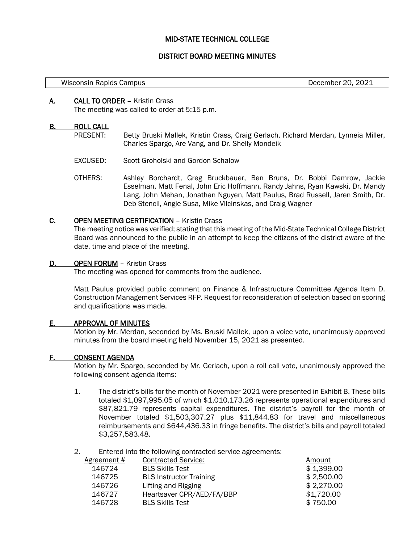# MID-STATE TECHNICAL COLLEGE

# DISTRICT BOARD MEETING MINUTES

#### Wisconsin Rapids Campus **December 20, 2021**

## A. CALL TO ORDER – Kristin Crass

The meeting was called to order at 5:15 p.m.

### B. ROLL CALL

l,

- PRESENT: Betty Bruski Mallek, Kristin Crass, Craig Gerlach, Richard Merdan, Lynneia Miller, Charles Spargo, Are Vang, and Dr. Shelly Mondeik
- EXCUSED: Scott Groholski and Gordon Schalow
- OTHERS: Ashley Borchardt, Greg Bruckbauer, Ben Bruns, Dr. Bobbi Damrow, Jackie Esselman, Matt Fenal, John Eric Hoffmann, Randy Jahns, Ryan Kawski, Dr. Mandy Lang, John Mehan, Jonathan Nguyen, Matt Paulus, Brad Russell, Jaren Smith, Dr. Deb Stencil, Angie Susa, Mike Vilcinskas, and Craig Wagner

### C. OPEN MEETING CERTIFICATION – Kristin Crass

The meeting notice was verified; stating that this meeting of the Mid-State Technical College District Board was announced to the public in an attempt to keep the citizens of the district aware of the date, time and place of the meeting.

## D. OPEN FORUM - Kristin Crass

The meeting was opened for comments from the audience.

Matt Paulus provided public comment on Finance & Infrastructure Committee Agenda Item D. Construction Management Services RFP. Request for reconsideration of selection based on scoring and qualifications was made.

# E. APPROVAL OF MINUTES

Motion by Mr. Merdan, seconded by Ms. Bruski Mallek, upon a voice vote, unanimously approved minutes from the board meeting held November 15, 2021 as presented.

#### F. CONSENT AGENDA

Motion by Mr. Spargo, seconded by Mr. Gerlach, upon a roll call vote, unanimously approved the following consent agenda items:

1. The district's bills for the month of November 2021 were presented in Exhibit B. These bills totaled \$1,097,995.05 of which \$1,010,173.26 represents operational expenditures and \$87,821.79 represents capital expenditures. The district's payroll for the month of November totaled \$1,503,307.27 plus \$11,844.83 for travel and miscellaneous reimbursements and \$644,436.33 in fringe benefits. The district's bills and payroll totaled \$3,257,583.48.

2. Entered into the following contracted service agreements:

| <b>BLS Skills Test</b><br>146724         | \$1,399.00 |
|------------------------------------------|------------|
|                                          |            |
| <b>BLS Instructor Training</b><br>146725 | \$2,500.00 |
| 146726<br>Lifting and Rigging            | \$2,270.00 |
| Heartsaver CPR/AED/FA/BBP<br>146727      | \$1,720.00 |
| 146728<br><b>BLS Skills Test</b>         | \$750.00   |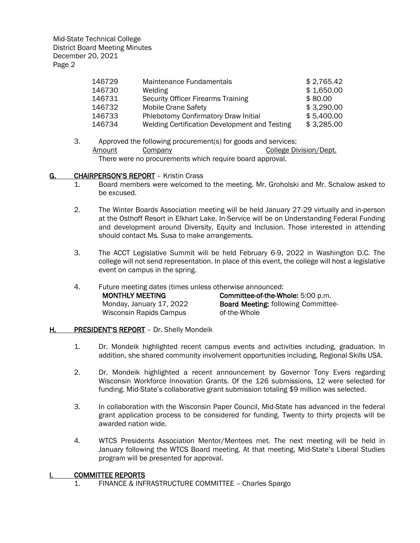| Maintenance Fundamentals                      | \$2,765.42 |
|-----------------------------------------------|------------|
| Welding                                       | \$1,650.00 |
| <b>Security Officer Firearms Training</b>     | \$80.00    |
| <b>Mobile Crane Safety</b>                    | \$3,290.00 |
| Phlebotomy Confirmatory Draw Initial          | \$5,400.00 |
| Welding Certification Development and Testing | \$3,285.00 |
|                                               |            |

3. Approved the following procurement(s) for goods and services: Amount Company College Division/Dept. There were no procurements which require board approval.

# G. CHAIRPERSON'S REPORT - Kristin Crass

- 1. Board members were welcomed to the meeting. Mr. Groholski and Mr. Schalow asked to be excused.
- 2. The Winter Boards Association meeting will be held January 27-29 virtually and in-person at the Osthoff Resort in Elkhart Lake. In-Service will be on Understanding Federal Funding and development around Diversity, Equity and Inclusion. Those interested in attending should contact Ms. Susa to make arrangements.
- 3. The ACCT Legislative Summit will be held February 6-9, 2022 in Washington D.C. The college will not send representation. In place of this event, the college will host a legislative event on campus in the spring.
- 4. Future meeting dates (times unless otherwise announced: MONTHLY MEETING Monday, January 17, 2022 Wisconsin Rapids Campus Committee-of-the-Whole: 5:00 p.m. Board Meeting: following Committeeof-the-Whole
- H. PRESIDENT'S REPORT Dr. Shelly Mondeik
	- 1. Dr. Mondeik highlighted recent campus events and activities including, graduation. In addition, she shared community involvement opportunities including, Regional Skills USA.
	- 2. Dr. Mondeik highlighted a recent announcement by Governor Tony Evers regarding Wisconsin Workforce Innovation Grants. Of the 126 submissions, 12 were selected for funding. Mid-State's collaborative grant submission totaling \$9 million was selected.
	- 3. In collaboration with the Wisconsin Paper Council, Mid-State has advanced in the federal grant application process to be considered for funding. Twenty to thirty projects will be awarded nation wide.
	- 4. WTCS Presidents Association Mentor/Mentees met. The next meeting will be held in January following the WTCS Board meeting. At that meeting, Mid-State's Liberal Studies program will be presented for approval.

# I. COMMITTEE REPORTS

1. FINANCE & INFRASTRUCTURE COMMITTEE – Charles Spargo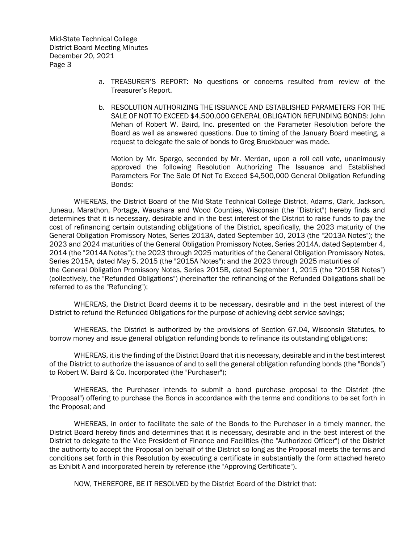- a. TREASURER'S REPORT: No questions or concerns resulted from review of the Treasurer's Report.
- b. RESOLUTION AUTHORIZING THE ISSUANCE AND ESTABLISHED PARAMETERS FOR THE SALE OF NOT TO EXCEED \$4,500,000 GENERAL OBLIGATION REFUNDING BONDS: John Mehan of Robert W. Baird, Inc. presented on the Parameter Resolution before the Board as well as answered questions. Due to timing of the January Board meeting, a request to delegate the sale of bonds to Greg Bruckbauer was made.

Motion by Mr. Spargo, seconded by Mr. Merdan, upon a roll call vote, unanimously approved the following Resolution Authorizing The Issuance and Established Parameters For The Sale Of Not To Exceed \$4,500,000 General Obligation Refunding Bonds:

WHEREAS, the District Board of the Mid-State Technical College District, Adams, Clark, Jackson, Juneau, Marathon, Portage, Waushara and Wood Counties, Wisconsin (the "District") hereby finds and determines that it is necessary, desirable and in the best interest of the District to raise funds to pay the cost of refinancing certain outstanding obligations of the District, specifically, the 2023 maturity of the General Obligation Promissory Notes, Series 2013A, dated September 10, 2013 (the "2013A Notes"); the 2023 and 2024 maturities of the General Obligation Promissory Notes, Series 2014A, dated September 4, 2014 (the "2014A Notes"); the 2023 through 2025 maturities of the General Obligation Promissory Notes, Series 2015A, dated May 5, 2015 (the "2015A Notes"); and the 2023 through 2025 maturities of the General Obligation Promissory Notes, Series 2015B, dated September 1, 2015 (the "2015B Notes") (collectively, the "Refunded Obligations") (hereinafter the refinancing of the Refunded Obligations shall be referred to as the "Refunding");

WHEREAS, the District Board deems it to be necessary, desirable and in the best interest of the District to refund the Refunded Obligations for the purpose of achieving debt service savings;

WHEREAS, the District is authorized by the provisions of Section 67.04, Wisconsin Statutes, to borrow money and issue general obligation refunding bonds to refinance its outstanding obligations;

WHEREAS, it is the finding of the District Board that it is necessary, desirable and in the best interest of the District to authorize the issuance of and to sell the general obligation refunding bonds (the "Bonds") to Robert W. Baird & Co. Incorporated (the "Purchaser");

WHEREAS, the Purchaser intends to submit a bond purchase proposal to the District (the "Proposal") offering to purchase the Bonds in accordance with the terms and conditions to be set forth in the Proposal; and

WHEREAS, in order to facilitate the sale of the Bonds to the Purchaser in a timely manner, the District Board hereby finds and determines that it is necessary, desirable and in the best interest of the District to delegate to the Vice President of Finance and Facilities (the "Authorized Officer") of the District the authority to accept the Proposal on behalf of the District so long as the Proposal meets the terms and conditions set forth in this Resolution by executing a certificate in substantially the form attached hereto as Exhibit A and incorporated herein by reference (the "Approving Certificate").

NOW, THEREFORE, BE IT RESOLVED by the District Board of the District that: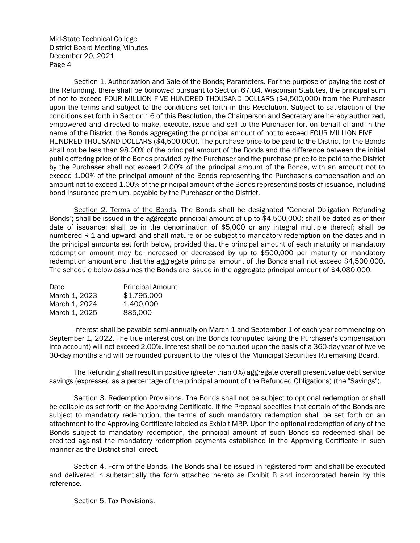Section 1. Authorization and Sale of the Bonds; Parameters. For the purpose of paying the cost of the Refunding, there shall be borrowed pursuant to Section 67.04, Wisconsin Statutes, the principal sum of not to exceed FOUR MILLION FIVE HUNDRED THOUSAND DOLLARS (\$4,500,000) from the Purchaser upon the terms and subject to the conditions set forth in this Resolution. Subject to satisfaction of the conditions set forth in Section 16 of this Resolution, the Chairperson and Secretary are hereby authorized, empowered and directed to make, execute, issue and sell to the Purchaser for, on behalf of and in the name of the District, the Bonds aggregating the principal amount of not to exceed FOUR MILLION FIVE HUNDRED THOUSAND DOLLARS (\$4,500,000). The purchase price to be paid to the District for the Bonds shall not be less than 98.00% of the principal amount of the Bonds and the difference between the initial public offering price of the Bonds provided by the Purchaser and the purchase price to be paid to the District by the Purchaser shall not exceed 2.00% of the principal amount of the Bonds, with an amount not to exceed 1.00% of the principal amount of the Bonds representing the Purchaser's compensation and an amount not to exceed 1.00% of the principal amount of the Bonds representing costs of issuance, including bond insurance premium, payable by the Purchaser or the District.

Section 2. Terms of the Bonds. The Bonds shall be designated "General Obligation Refunding Bonds"; shall be issued in the aggregate principal amount of up to \$4,500,000; shall be dated as of their date of issuance; shall be in the denomination of \$5,000 or any integral multiple thereof; shall be numbered R-1 and upward; and shall mature or be subject to mandatory redemption on the dates and in the principal amounts set forth below, provided that the principal amount of each maturity or mandatory redemption amount may be increased or decreased by up to \$500,000 per maturity or mandatory redemption amount and that the aggregate principal amount of the Bonds shall not exceed \$4,500,000. The schedule below assumes the Bonds are issued in the aggregate principal amount of \$4,080,000.

| <b>Principal Amount</b> |
|-------------------------|
| \$1,795,000             |
| 1.400.000               |
| 885,000                 |
|                         |

Interest shall be payable semi-annually on March 1 and September 1 of each year commencing on September 1, 2022. The true interest cost on the Bonds (computed taking the Purchaser's compensation into account) will not exceed 2.00%. Interest shall be computed upon the basis of a 360-day year of twelve 30-day months and will be rounded pursuant to the rules of the Municipal Securities Rulemaking Board.

The Refunding shall result in positive (greater than 0%) aggregate overall present value debt service savings (expressed as a percentage of the principal amount of the Refunded Obligations) (the "Savings").

Section 3. Redemption Provisions. The Bonds shall not be subject to optional redemption or shall be callable as set forth on the Approving Certificate. If the Proposal specifies that certain of the Bonds are subject to mandatory redemption, the terms of such mandatory redemption shall be set forth on an attachment to the Approving Certificate labeled as Exhibit MRP. Upon the optional redemption of any of the Bonds subject to mandatory redemption, the principal amount of such Bonds so redeemed shall be credited against the mandatory redemption payments established in the Approving Certificate in such manner as the District shall direct.

Section 4. Form of the Bonds. The Bonds shall be issued in registered form and shall be executed and delivered in substantially the form attached hereto as Exhibit B and incorporated herein by this reference.

Section 5. Tax Provisions.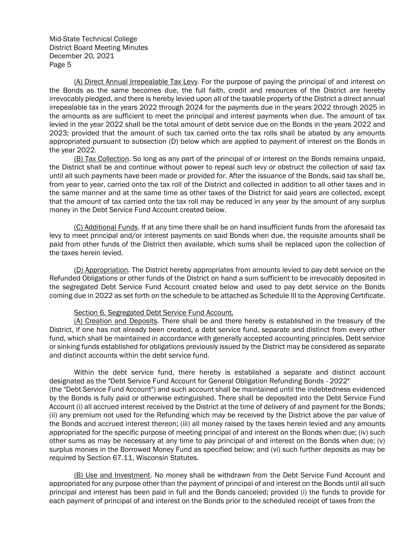(A) Direct Annual Irrepealable Tax Levy. For the purpose of paying the principal of and interest on the Bonds as the same becomes due, the full faith, credit and resources of the District are hereby irrevocably pledged, and there is hereby levied upon all of the taxable property of the District a direct annual irrepealable tax in the years 2022 through 2024 for the payments due in the years 2022 through 2025 in the amounts as are sufficient to meet the principal and interest payments when due. The amount of tax levied in the year 2022 shall be the total amount of debt service due on the Bonds in the years 2022 and 2023; provided that the amount of such tax carried onto the tax rolls shall be abated by any amounts appropriated pursuant to subsection (D) below which are applied to payment of interest on the Bonds in the year 2022.

(B) Tax Collection. So long as any part of the principal of or interest on the Bonds remains unpaid, the District shall be and continue without power to repeal such levy or obstruct the collection of said tax until all such payments have been made or provided for. After the issuance of the Bonds, said tax shall be, from year to year, carried onto the tax roll of the District and collected in addition to all other taxes and in the same manner and at the same time as other taxes of the District for said years are collected, except that the amount of tax carried onto the tax roll may be reduced in any year by the amount of any surplus money in the Debt Service Fund Account created below.

(C) Additional Funds. If at any time there shall be on hand insufficient funds from the aforesaid tax levy to meet principal and/or interest payments on said Bonds when due, the requisite amounts shall be paid from other funds of the District then available, which sums shall be replaced upon the collection of the taxes herein levied.

(D) Appropriation. The District hereby appropriates from amounts levied to pay debt service on the Refunded Obligations or other funds of the District on hand a sum sufficient to be irrevocably deposited in the segregated Debt Service Fund Account created below and used to pay debt service on the Bonds coming due in 2022 as set forth on the schedule to be attached as Schedule III to the Approving Certificate.

## Section 6. Segregated Debt Service Fund Account.

(A) Creation and Deposits. There shall be and there hereby is established in the treasury of the District, if one has not already been created, a debt service fund, separate and distinct from every other fund, which shall be maintained in accordance with generally accepted accounting principles. Debt service or sinking funds established for obligations previously issued by the District may be considered as separate and distinct accounts within the debt service fund.

Within the debt service fund, there hereby is established a separate and distinct account designated as the "Debt Service Fund Account for General Obligation Refunding Bonds - 2022" (the "Debt Service Fund Account") and such account shall be maintained until the indebtedness evidenced by the Bonds is fully paid or otherwise extinguished. There shall be deposited into the Debt Service Fund Account (i) all accrued interest received by the District at the time of delivery of and payment for the Bonds; (ii) any premium not used for the Refunding which may be received by the District above the par value of the Bonds and accrued interest thereon; (iii) all money raised by the taxes herein levied and any amounts appropriated for the specific purpose of meeting principal of and interest on the Bonds when due; (iv) such other sums as may be necessary at any time to pay principal of and interest on the Bonds when due; (v) surplus monies in the Borrowed Money Fund as specified below; and (vi) such further deposits as may be required by Section 67.11, Wisconsin Statutes.

(B) Use and Investment. No money shall be withdrawn from the Debt Service Fund Account and appropriated for any purpose other than the payment of principal of and interest on the Bonds until all such principal and interest has been paid in full and the Bonds canceled; provided (i) the funds to provide for each payment of principal of and interest on the Bonds prior to the scheduled receipt of taxes from the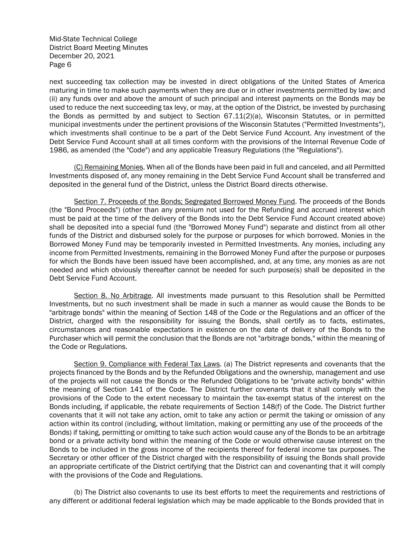next succeeding tax collection may be invested in direct obligations of the United States of America maturing in time to make such payments when they are due or in other investments permitted by law; and (ii) any funds over and above the amount of such principal and interest payments on the Bonds may be used to reduce the next succeeding tax levy, or may, at the option of the District, be invested by purchasing the Bonds as permitted by and subject to Section  $67.11(2)(a)$ , Wisconsin Statutes, or in permitted municipal investments under the pertinent provisions of the Wisconsin Statutes ("Permitted Investments"), which investments shall continue to be a part of the Debt Service Fund Account. Any investment of the Debt Service Fund Account shall at all times conform with the provisions of the Internal Revenue Code of 1986, as amended (the "Code") and any applicable Treasury Regulations (the "Regulations").

(C) Remaining Monies. When all of the Bonds have been paid in full and canceled, and all Permitted Investments disposed of, any money remaining in the Debt Service Fund Account shall be transferred and deposited in the general fund of the District, unless the District Board directs otherwise.

Section 7. Proceeds of the Bonds; Segregated Borrowed Money Fund. The proceeds of the Bonds (the "Bond Proceeds") (other than any premium not used for the Refunding and accrued interest which must be paid at the time of the delivery of the Bonds into the Debt Service Fund Account created above) shall be deposited into a special fund (the "Borrowed Money Fund") separate and distinct from all other funds of the District and disbursed solely for the purpose or purposes for which borrowed. Monies in the Borrowed Money Fund may be temporarily invested in Permitted Investments. Any monies, including any income from Permitted Investments, remaining in the Borrowed Money Fund after the purpose or purposes for which the Bonds have been issued have been accomplished, and, at any time, any monies as are not needed and which obviously thereafter cannot be needed for such purpose(s) shall be deposited in the Debt Service Fund Account.

Section 8. No Arbitrage. All investments made pursuant to this Resolution shall be Permitted Investments, but no such investment shall be made in such a manner as would cause the Bonds to be "arbitrage bonds" within the meaning of Section 148 of the Code or the Regulations and an officer of the District, charged with the responsibility for issuing the Bonds, shall certify as to facts, estimates, circumstances and reasonable expectations in existence on the date of delivery of the Bonds to the Purchaser which will permit the conclusion that the Bonds are not "arbitrage bonds," within the meaning of the Code or Regulations.

Section 9. Compliance with Federal Tax Laws. (a) The District represents and covenants that the projects financed by the Bonds and by the Refunded Obligations and the ownership, management and use of the projects will not cause the Bonds or the Refunded Obligations to be "private activity bonds" within the meaning of Section 141 of the Code. The District further covenants that it shall comply with the provisions of the Code to the extent necessary to maintain the tax-exempt status of the interest on the Bonds including, if applicable, the rebate requirements of Section 148(f) of the Code. The District further covenants that it will not take any action, omit to take any action or permit the taking or omission of any action within its control (including, without limitation, making or permitting any use of the proceeds of the Bonds) if taking, permitting or omitting to take such action would cause any of the Bonds to be an arbitrage bond or a private activity bond within the meaning of the Code or would otherwise cause interest on the Bonds to be included in the gross income of the recipients thereof for federal income tax purposes. The Secretary or other officer of the District charged with the responsibility of issuing the Bonds shall provide an appropriate certificate of the District certifying that the District can and covenanting that it will comply with the provisions of the Code and Regulations.

(b) The District also covenants to use its best efforts to meet the requirements and restrictions of any different or additional federal legislation which may be made applicable to the Bonds provided that in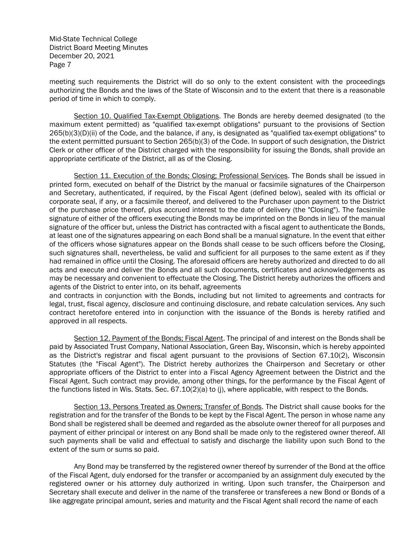meeting such requirements the District will do so only to the extent consistent with the proceedings authorizing the Bonds and the laws of the State of Wisconsin and to the extent that there is a reasonable period of time in which to comply.

Section 10. Qualified Tax-Exempt Obligations. The Bonds are hereby deemed designated (to the maximum extent permitted) as "qualified tax-exempt obligations" pursuant to the provisions of Section 265(b)(3)(D)(ii) of the Code, and the balance, if any, is designated as "qualified tax-exempt obligations" to the extent permitted pursuant to Section 265(b)(3) of the Code. In support of such designation, the District Clerk or other officer of the District charged with the responsibility for issuing the Bonds, shall provide an appropriate certificate of the District, all as of the Closing.

Section 11. Execution of the Bonds; Closing; Professional Services. The Bonds shall be issued in printed form, executed on behalf of the District by the manual or facsimile signatures of the Chairperson and Secretary, authenticated, if required, by the Fiscal Agent (defined below), sealed with its official or corporate seal, if any, or a facsimile thereof, and delivered to the Purchaser upon payment to the District of the purchase price thereof, plus accrued interest to the date of delivery (the "Closing"). The facsimile signature of either of the officers executing the Bonds may be imprinted on the Bonds in lieu of the manual signature of the officer but, unless the District has contracted with a fiscal agent to authenticate the Bonds, at least one of the signatures appearing on each Bond shall be a manual signature. In the event that either of the officers whose signatures appear on the Bonds shall cease to be such officers before the Closing, such signatures shall, nevertheless, be valid and sufficient for all purposes to the same extent as if they had remained in office until the Closing. The aforesaid officers are hereby authorized and directed to do all acts and execute and deliver the Bonds and all such documents, certificates and acknowledgements as may be necessary and convenient to effectuate the Closing. The District hereby authorizes the officers and agents of the District to enter into, on its behalf, agreements

and contracts in conjunction with the Bonds, including but not limited to agreements and contracts for legal, trust, fiscal agency, disclosure and continuing disclosure, and rebate calculation services. Any such contract heretofore entered into in conjunction with the issuance of the Bonds is hereby ratified and approved in all respects.

Section 12. Payment of the Bonds; Fiscal Agent. The principal of and interest on the Bonds shall be paid by Associated Trust Company, National Association, Green Bay, Wisconsin, which is hereby appointed as the District's registrar and fiscal agent pursuant to the provisions of Section 67.10(2), Wisconsin Statutes (the "Fiscal Agent"). The District hereby authorizes the Chairperson and Secretary or other appropriate officers of the District to enter into a Fiscal Agency Agreement between the District and the Fiscal Agent. Such contract may provide, among other things, for the performance by the Fiscal Agent of the functions listed in Wis. Stats. Sec. 67.10(2)(a) to (j), where applicable, with respect to the Bonds.

Section 13. Persons Treated as Owners; Transfer of Bonds. The District shall cause books for the registration and for the transfer of the Bonds to be kept by the Fiscal Agent. The person in whose name any Bond shall be registered shall be deemed and regarded as the absolute owner thereof for all purposes and payment of either principal or interest on any Bond shall be made only to the registered owner thereof. All such payments shall be valid and effectual to satisfy and discharge the liability upon such Bond to the extent of the sum or sums so paid.

Any Bond may be transferred by the registered owner thereof by surrender of the Bond at the office of the Fiscal Agent, duly endorsed for the transfer or accompanied by an assignment duly executed by the registered owner or his attorney duly authorized in writing. Upon such transfer, the Chairperson and Secretary shall execute and deliver in the name of the transferee or transferees a new Bond or Bonds of a like aggregate principal amount, series and maturity and the Fiscal Agent shall record the name of each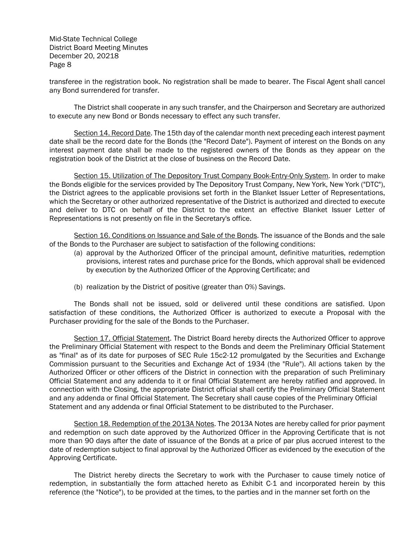transferee in the registration book. No registration shall be made to bearer. The Fiscal Agent shall cancel any Bond surrendered for transfer.

The District shall cooperate in any such transfer, and the Chairperson and Secretary are authorized to execute any new Bond or Bonds necessary to effect any such transfer.

Section 14. Record Date. The 15th day of the calendar month next preceding each interest payment date shall be the record date for the Bonds (the "Record Date"). Payment of interest on the Bonds on any interest payment date shall be made to the registered owners of the Bonds as they appear on the registration book of the District at the close of business on the Record Date.

Section 15. Utilization of The Depository Trust Company Book-Entry-Only System. In order to make the Bonds eligible for the services provided by The Depository Trust Company, New York, New York ("DTC"), the District agrees to the applicable provisions set forth in the Blanket Issuer Letter of Representations, which the Secretary or other authorized representative of the District is authorized and directed to execute and deliver to DTC on behalf of the District to the extent an effective Blanket Issuer Letter of Representations is not presently on file in the Secretary's office.

Section 16. Conditions on Issuance and Sale of the Bonds. The issuance of the Bonds and the sale of the Bonds to the Purchaser are subject to satisfaction of the following conditions:

- (a) approval by the Authorized Officer of the principal amount, definitive maturities, redemption provisions, interest rates and purchase price for the Bonds, which approval shall be evidenced by execution by the Authorized Officer of the Approving Certificate; and
- (b) realization by the District of positive (greater than 0%) Savings.

The Bonds shall not be issued, sold or delivered until these conditions are satisfied. Upon satisfaction of these conditions, the Authorized Officer is authorized to execute a Proposal with the Purchaser providing for the sale of the Bonds to the Purchaser.

Section 17. Official Statement. The District Board hereby directs the Authorized Officer to approve the Preliminary Official Statement with respect to the Bonds and deem the Preliminary Official Statement as "final" as of its date for purposes of SEC Rule 15c2-12 promulgated by the Securities and Exchange Commission pursuant to the Securities and Exchange Act of 1934 (the "Rule"). All actions taken by the Authorized Officer or other officers of the District in connection with the preparation of such Preliminary Official Statement and any addenda to it or final Official Statement are hereby ratified and approved. In connection with the Closing, the appropriate District official shall certify the Preliminary Official Statement and any addenda or final Official Statement. The Secretary shall cause copies of the Preliminary Official Statement and any addenda or final Official Statement to be distributed to the Purchaser.

Section 18. Redemption of the 2013A Notes. The 2013A Notes are hereby called for prior payment and redemption on such date approved by the Authorized Officer in the Approving Certificate that is not more than 90 days after the date of issuance of the Bonds at a price of par plus accrued interest to the date of redemption subject to final approval by the Authorized Officer as evidenced by the execution of the Approving Certificate.

The District hereby directs the Secretary to work with the Purchaser to cause timely notice of redemption, in substantially the form attached hereto as Exhibit C-1 and incorporated herein by this reference (the "Notice"), to be provided at the times, to the parties and in the manner set forth on the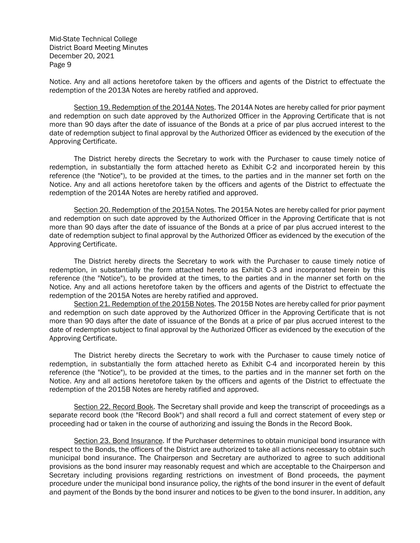Notice. Any and all actions heretofore taken by the officers and agents of the District to effectuate the redemption of the 2013A Notes are hereby ratified and approved.

Section 19. Redemption of the 2014A Notes. The 2014A Notes are hereby called for prior payment and redemption on such date approved by the Authorized Officer in the Approving Certificate that is not more than 90 days after the date of issuance of the Bonds at a price of par plus accrued interest to the date of redemption subject to final approval by the Authorized Officer as evidenced by the execution of the Approving Certificate.

The District hereby directs the Secretary to work with the Purchaser to cause timely notice of redemption, in substantially the form attached hereto as Exhibit C-2 and incorporated herein by this reference (the "Notice"), to be provided at the times, to the parties and in the manner set forth on the Notice. Any and all actions heretofore taken by the officers and agents of the District to effectuate the redemption of the 2014A Notes are hereby ratified and approved.

Section 20. Redemption of the 2015A Notes. The 2015A Notes are hereby called for prior payment and redemption on such date approved by the Authorized Officer in the Approving Certificate that is not more than 90 days after the date of issuance of the Bonds at a price of par plus accrued interest to the date of redemption subject to final approval by the Authorized Officer as evidenced by the execution of the Approving Certificate.

The District hereby directs the Secretary to work with the Purchaser to cause timely notice of redemption, in substantially the form attached hereto as Exhibit C-3 and incorporated herein by this reference (the "Notice"), to be provided at the times, to the parties and in the manner set forth on the Notice. Any and all actions heretofore taken by the officers and agents of the District to effectuate the redemption of the 2015A Notes are hereby ratified and approved.

Section 21. Redemption of the 2015B Notes. The 2015B Notes are hereby called for prior payment and redemption on such date approved by the Authorized Officer in the Approving Certificate that is not more than 90 days after the date of issuance of the Bonds at a price of par plus accrued interest to the date of redemption subject to final approval by the Authorized Officer as evidenced by the execution of the Approving Certificate.

The District hereby directs the Secretary to work with the Purchaser to cause timely notice of redemption, in substantially the form attached hereto as Exhibit C-4 and incorporated herein by this reference (the "Notice"), to be provided at the times, to the parties and in the manner set forth on the Notice. Any and all actions heretofore taken by the officers and agents of the District to effectuate the redemption of the 2015B Notes are hereby ratified and approved.

Section 22. Record Book. The Secretary shall provide and keep the transcript of proceedings as a separate record book (the "Record Book") and shall record a full and correct statement of every step or proceeding had or taken in the course of authorizing and issuing the Bonds in the Record Book.

Section 23. Bond Insurance. If the Purchaser determines to obtain municipal bond insurance with respect to the Bonds, the officers of the District are authorized to take all actions necessary to obtain such municipal bond insurance. The Chairperson and Secretary are authorized to agree to such additional provisions as the bond insurer may reasonably request and which are acceptable to the Chairperson and Secretary including provisions regarding restrictions on investment of Bond proceeds, the payment procedure under the municipal bond insurance policy, the rights of the bond insurer in the event of default and payment of the Bonds by the bond insurer and notices to be given to the bond insurer. In addition, any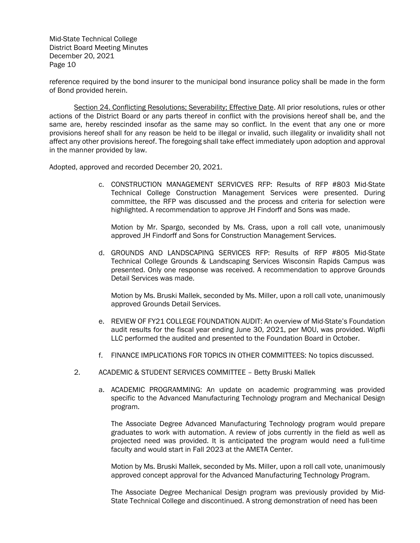reference required by the bond insurer to the municipal bond insurance policy shall be made in the form of Bond provided herein.

Section 24. Conflicting Resolutions; Severability; Effective Date. All prior resolutions, rules or other actions of the District Board or any parts thereof in conflict with the provisions hereof shall be, and the same are, hereby rescinded insofar as the same may so conflict. In the event that any one or more provisions hereof shall for any reason be held to be illegal or invalid, such illegality or invalidity shall not affect any other provisions hereof. The foregoing shall take effect immediately upon adoption and approval in the manner provided by law.

Adopted, approved and recorded December 20, 2021.

c. CONSTRUCTION MANAGEMENT SERVICVES RFP: Results of RFP #803 Mid-State Technical College Construction Management Services were presented. During committee, the RFP was discussed and the process and criteria for selection were highlighted. A recommendation to approve JH Findorff and Sons was made.

Motion by Mr. Spargo, seconded by Ms. Crass, upon a roll call vote, unanimously approved JH Findorff and Sons for Construction Management Services.

d. GROUNDS AND LANDSCAPING SERVICES RFP: Results of RFP #805 Mid-State Technical College Grounds & Landscaping Services Wisconsin Rapids Campus was presented. Only one response was received. A recommendation to approve Grounds Detail Services was made.

Motion by Ms. Bruski Mallek, seconded by Ms. Miller, upon a roll call vote, unanimously approved Grounds Detail Services.

- e. REVIEW OF FY21 COLLEGE FOUNDATION AUDIT: An overview of Mid-State's Foundation audit results for the fiscal year ending June 30, 2021, per MOU, was provided. Wipfli LLC performed the audited and presented to the Foundation Board in October.
- f. FINANCE IMPLICATIONS FOR TOPICS IN OTHER COMMITTEES: No topics discussed.
- 2. ACADEMIC & STUDENT SERVICES COMMITTEE Betty Bruski Mallek
	- a. ACADEMIC PROGRAMMING: An update on academic programming was provided specific to the Advanced Manufacturing Technology program and Mechanical Design program.

The Associate Degree Advanced Manufacturing Technology program would prepare graduates to work with automation. A review of jobs currently in the field as well as projected need was provided. It is anticipated the program would need a full-time faculty and would start in Fall 2023 at the AMETA Center.

Motion by Ms. Bruski Mallek, seconded by Ms. Miller, upon a roll call vote, unanimously approved concept approval for the Advanced Manufacturing Technology Program.

The Associate Degree Mechanical Design program was previously provided by Mid-State Technical College and discontinued. A strong demonstration of need has been